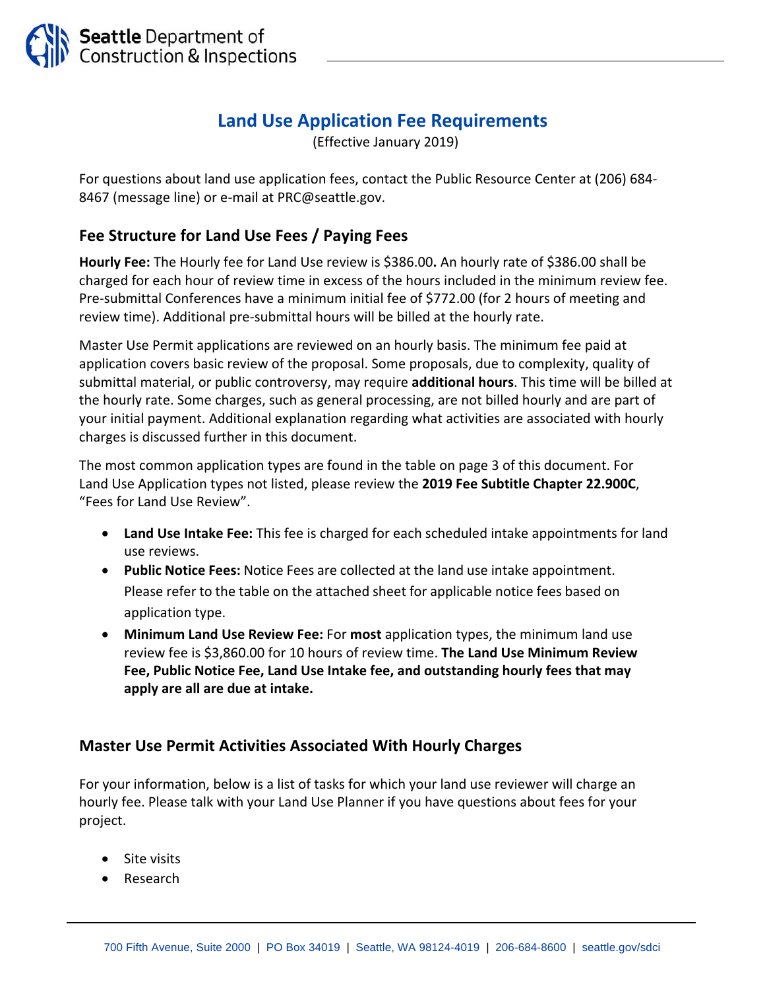

## **Land Use Application Fee Requirements**

(Effective January 2019)

For questions about land use application fees, contact the Public Resource Center at (206) 684‐ 8467 (message line) or e‐mail at PRC@seattle.gov.

## **Fee Structure for Land Use Fees / Paying Fees**

**Hourly Fee:** The Hourly fee for Land Use review is \$386.00**.** An hourly rate of \$386.00 shall be charged for each hour of review time in excess of the hours included in the minimum review fee. Pre‐submittal Conferences have a minimum initial fee of \$772.00 (for 2 hours of meeting and review time). Additional pre‐submittal hours will be billed at the hourly rate.

Master Use Permit applications are reviewed on an hourly basis. The minimum fee paid at application covers basic review of the proposal. Some proposals, due to complexity, quality of submittal material, or public controversy, may require **additional hours**. This time will be billed at the hourly rate. Some charges, such as general processing, are not billed hourly and are part of your initial payment. Additional explanation regarding what activities are associated with hourly charges is discussed further in this document.

The most common application types are found in the table on page 3 of this document. For Land Use Application types not listed, please review the **2019 Fee Subtitle Chapter 22.900C**, "Fees for Land Use Review".

- **Land Use Intake Fee:** This fee is charged for each scheduled intake appointments for land use reviews.
- **Public Notice Fees:** Notice Fees are collected at the land use intake appointment. Please refer to the table on the attached sheet for applicable notice fees based on application type.
- **Minimum Land Use Review Fee:** For **most** application types, the minimum land use review fee is \$3,860.00 for 10 hours of review time. **The Land Use Minimum Review Fee, Public Notice Fee, Land Use Intake fee, and outstanding hourly fees that may apply are all are due at intake.**

## **Master Use Permit Activities Associated With Hourly Charges**

For your information, below is a list of tasks for which your land use reviewer will charge an hourly fee. Please talk with your Land Use Planner if you have questions about fees for your project.

- Site visits
- Research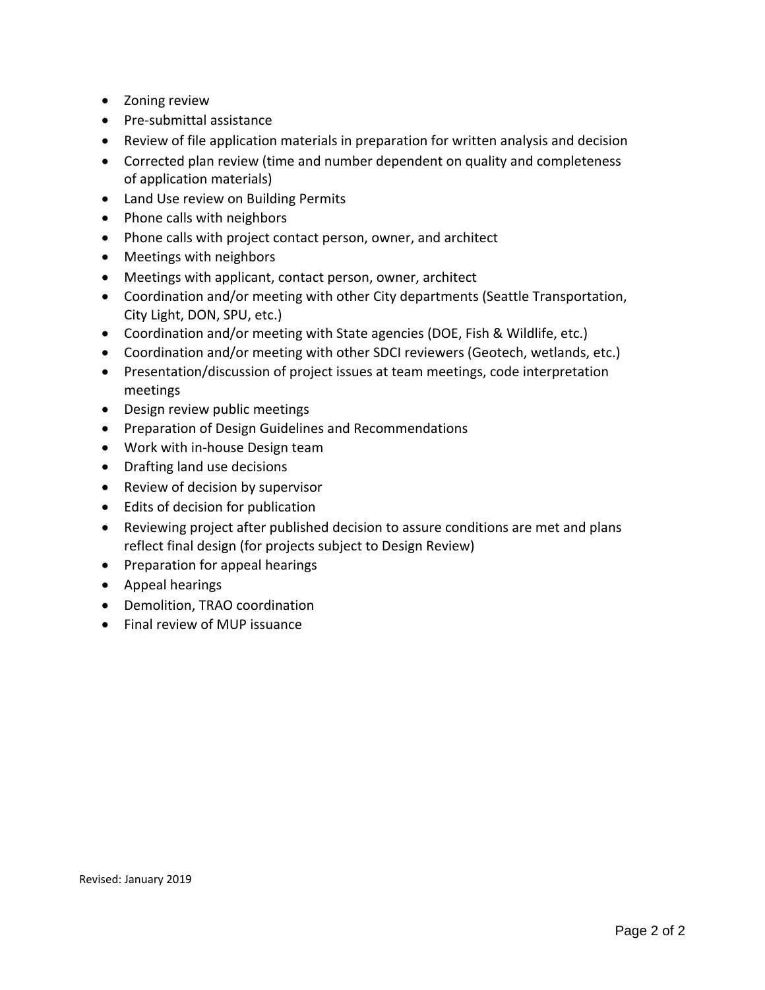- Zoning review
- Pre-submittal assistance
- Review of file application materials in preparation for written analysis and decision
- Corrected plan review (time and number dependent on quality and completeness of application materials)
- Land Use review on Building Permits
- Phone calls with neighbors
- Phone calls with project contact person, owner, and architect
- Meetings with neighbors
- Meetings with applicant, contact person, owner, architect
- Coordination and/or meeting with other City departments (Seattle Transportation, City Light, DON, SPU, etc.)
- Coordination and/or meeting with State agencies (DOE, Fish & Wildlife, etc.)
- Coordination and/or meeting with other SDCI reviewers (Geotech, wetlands, etc.)
- Presentation/discussion of project issues at team meetings, code interpretation meetings
- Design review public meetings
- **•** Preparation of Design Guidelines and Recommendations
- Work with in-house Design team
- Drafting land use decisions
- Review of decision by supervisor
- Edits of decision for publication
- Reviewing project after published decision to assure conditions are met and plans reflect final design (for projects subject to Design Review)
- Preparation for appeal hearings
- Appeal hearings
- Demolition, TRAO coordination
- Final review of MUP issuance